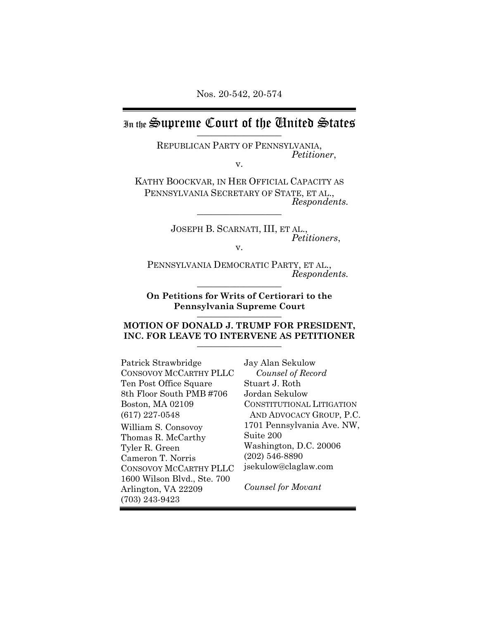# In the Supreme Court of the Chuited States

REPUBLICAN PARTY OF PENNSYLVANIA, *Petitioner*, v.

KATHY BOOCKVAR, IN HER OFFICIAL CAPACITY AS PENNSYLVANIA SECRETARY OF STATE, ET AL.,<br>*Respondents.* 

JOSEPH B. SCARNATI, III, ET AL., *Petitioners*, v.

PENNSYLVANIA DEMOCRATIC PARTY, ET AL.,<br>*Respondents.* 

**On Petitions for Writs of Certiorari to the Pennsylvania Supreme Court** \_\_\_\_\_\_\_\_\_\_\_\_\_\_\_\_\_\_

### **MOTION OF DONALD J. TRUMP FOR PRESIDENT,** INC. FOR LEAVE TO INTERVENE AS PETITIONER

Patrick Strawbridge CONSOVOY MCCARTHY PLLC Ten Post Office Square 8th Floor South PMB #706 Boston, MA 02109 (617) 227-0548 William S. Consovoy Thomas R. McCarthy Tyler R. Green Cameron T. Norris CONSOVOY MCCARTHY PLLC 1600 Wilson Blvd., Ste. 700 Arlington, VA 22209 (703) 243-9423

Jay Alan Sekulow *Counsel of Record* Stuart J. Roth Jordan Sekulow CONSTITUTIONAL LITIGATION AND ADVOCACY GROUP, P.C. 1701 Pennsylvania Ave. NW, Suite 200 Washington, D.C. 20006 (202) 546-8890 jsekulow@claglaw.com

*Counsel for Movant*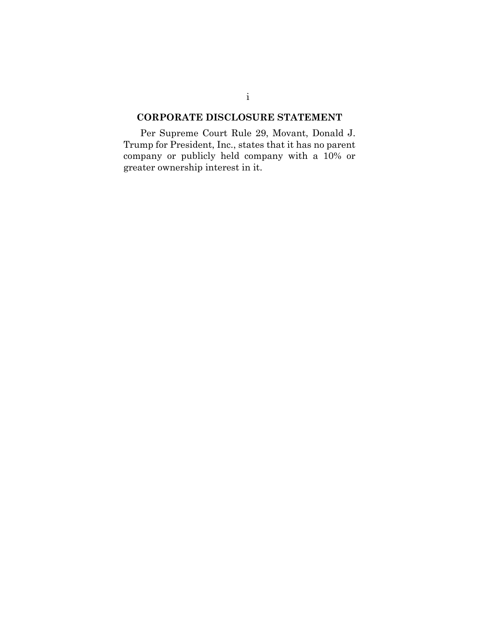## **CORPORATE DISCLOSURE STATEMENT**

Per Supreme Court Rule 29, Movant, Donald J. Trump for President, Inc., states that it has no parent company or publicly held company with a 10% or greater ownership interest in it.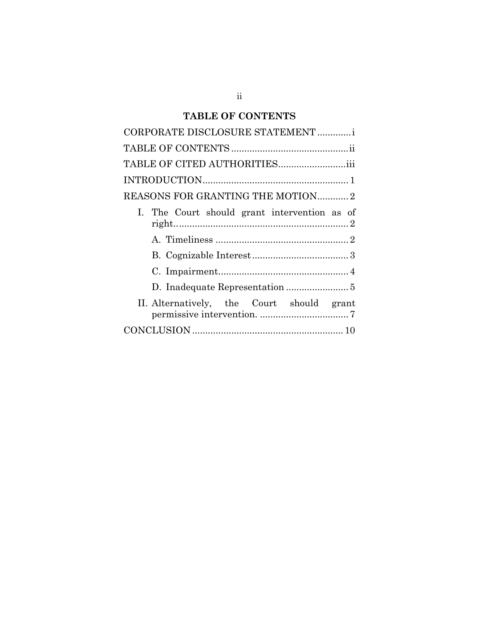# **TABLE OF CONTENTS**

| CORPORATE DISCLOSURE STATEMENT               |
|----------------------------------------------|
|                                              |
| TABLE OF CITED AUTHORITIES                   |
|                                              |
| REASONS FOR GRANTING THE MOTION 2            |
| I. The Court should grant intervention as of |
|                                              |
|                                              |
|                                              |
|                                              |
| II. Alternatively, the Court should grant    |
|                                              |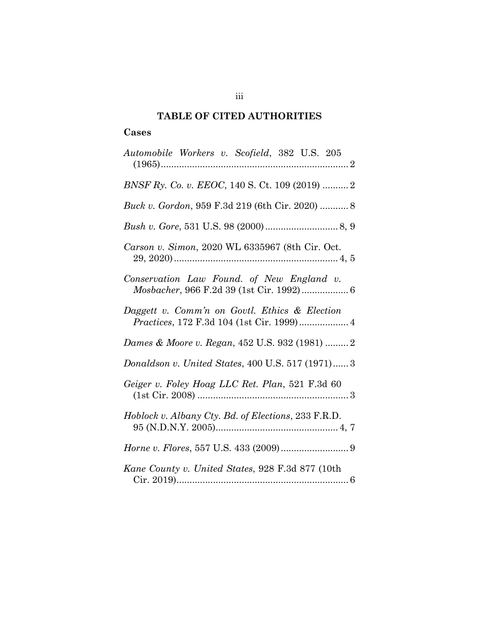# **TABLE OF CITED AUTHORITIES**

## **Cases**

| Automobile Workers v. Scofield, 382 U.S. 205                                               |
|--------------------------------------------------------------------------------------------|
| BNSF Ry. Co. v. EEOC, 140 S. Ct. 109 (2019)  2                                             |
| Buck v. Gordon, 959 F.3d 219 (6th Cir. 2020)  8                                            |
|                                                                                            |
| Carson v. Simon, 2020 WL 6335967 (8th Cir. Oct.                                            |
| Conservation Law Found. of New England v.<br>Mosbacher, 966 F.2d 39 (1st Cir. 1992) 6      |
| Daggett v. Comm'n on Govtl. Ethics & Election<br>Practices, 172 F.3d 104 (1st Cir. 1999) 4 |
| Dames & Moore v. Regan, 452 U.S. 932 (1981)  2                                             |
| Donaldson v. United States, 400 U.S. 517 (1971) 3                                          |
| Geiger v. Foley Hoag LLC Ret. Plan, 521 F.3d 60                                            |
| Hoblock v. Albany Cty. Bd. of Elections, 233 F.R.D.                                        |
| <i>Horne v. Flores, 557 U.S. 433 (2009) </i> 9                                             |
| Kane County v. United States, 928 F.3d 877 (10th                                           |

iii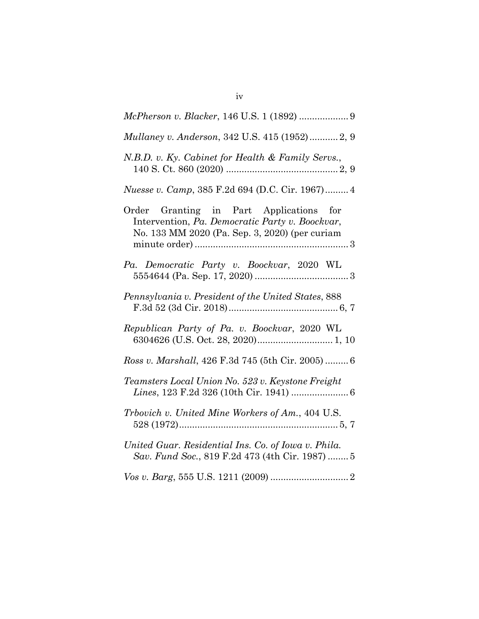| Mullaney v. Anderson, 342 U.S. 415 (1952) 2, 9                                                                                               |
|----------------------------------------------------------------------------------------------------------------------------------------------|
| N.B.D. v. Ky. Cabinet for Health & Family Servs.,                                                                                            |
| Nuesse v. Camp, 385 F.2d 694 (D.C. Cir. 1967) 4                                                                                              |
| Order Granting in Part Applications for<br>Intervention, Pa. Democratic Party v. Boockvar,<br>No. 133 MM 2020 (Pa. Sep. 3, 2020) (per curiam |
| Pa. Democratic Party v. Boockvar, 2020 WL                                                                                                    |
| Pennsylvania v. President of the United States, 888                                                                                          |
| Republican Party of Pa. v. Boockvar, 2020 WL                                                                                                 |
| Ross v. Marshall, 426 F.3d 745 (5th Cir. 2005) 6                                                                                             |
| Teamsters Local Union No. 523 v. Keystone Freight<br>Lines, 123 F.2d 326 (10th Cir. 1941)  6                                                 |
| Trbovich v. United Mine Workers of Am., 404 U.S.                                                                                             |
| United Guar. Residential Ins. Co. of Iowa v. Phila.<br>Sav. Fund Soc., 819 F.2d 473 (4th Cir. 1987)  5                                       |
|                                                                                                                                              |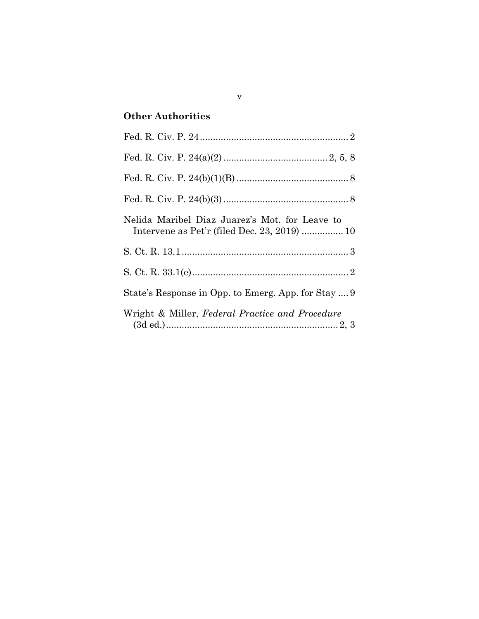# **Other Authorities**

| Nelida Maribel Diaz Juarez's Mot. for Leave to<br>Intervene as Pet'r (filed Dec. 23, 2019)  10 |
|------------------------------------------------------------------------------------------------|
|                                                                                                |
|                                                                                                |
| State's Response in Opp. to Emerg. App. for Stay  9                                            |
| Wright & Miller, Federal Practice and Procedure                                                |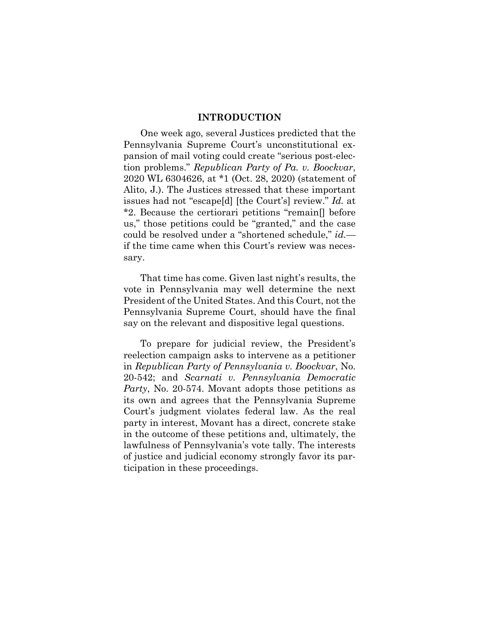#### **INTRODUCTION**

One week ago, several Justices predicted that the Pennsylvania Supreme Court's unconstitutional expansion of mail voting could create "serious post-election problems." *Republican Party of Pa. v. Boockvar*, 2020 WL 6304626, at \*1 (Oct. 28, 2020) (statement of Alito, J.). The Justices stressed that these important issues had not "escape[d] [the Court's] review." *Id.* at \*2. Because the certiorari petitions "remain[] before us," those petitions could be "granted," and the case could be resolved under a "shortened schedule," *id.* if the time came when this Court's review was necessary.

That time has come. Given last night's results, the vote in Pennsylvania may well determine the next President of the United States. And this Court, not the Pennsylvania Supreme Court, should have the final say on the relevant and dispositive legal questions.

To prepare for judicial review, the President's reelection campaign asks to intervene as a petitioner in *Republican Party of Pennsylvania v. Boockvar*, No. 20-542; and *Scarnati v. Pennsylvania Democratic Party*, No. 20-574. Movant adopts those petitions as its own and agrees that the Pennsylvania Supreme Court's judgment violates federal law. As the real party in interest, Movant has a direct, concrete stake in the outcome of these petitions and, ultimately, the lawfulness of Pennsylvania's vote tally. The interests of justice and judicial economy strongly favor its participation in these proceedings.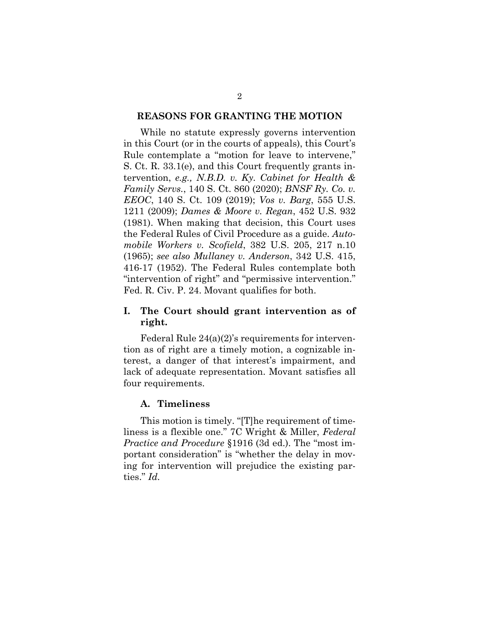#### **REASONS FOR GRANTING THE MOTION**

While no statute expressly governs intervention in this Court (or in the courts of appeals), this Court's Rule contemplate a "motion for leave to intervene," S. Ct. R. 33.1(e), and this Court frequently grants intervention, *e.g., N.B.D. v. Ky. Cabinet for Health & Family Servs.*, 140 S. Ct. 860 (2020); *BNSF Ry. Co. v. EEOC*, 140 S. Ct. 109 (2019); *Vos v. Barg*, 555 U.S. 1211 (2009); *Dames & Moore v. Regan*, 452 U.S. 932 (1981). When making that decision, this Court uses the Federal Rules of Civil Procedure as a guide. *Automobile Workers v. Scofield*, 382 U.S. 205, 217 n.10 (1965); *see also Mullaney v. Anderson*, 342 U.S. 415, 416-17 (1952). The Federal Rules contemplate both "intervention of right" and "permissive intervention." Fed. R. Civ. P. 24. Movant qualifies for both.

## **I. The Court should grant intervention as of right.**

Federal Rule 24(a)(2)'s requirements for intervention as of right are a timely motion, a cognizable interest, a danger of that interest's impairment, and lack of adequate representation. Movant satisfies all four requirements.

### **A. Timeliness**

This motion is timely. "[T]he requirement of timeliness is a flexible one." 7C Wright & Miller, *Federal Practice and Procedure* §1916 (3d ed.). The "most important consideration" is "whether the delay in moving for intervention will prejudice the existing parties." *Id.*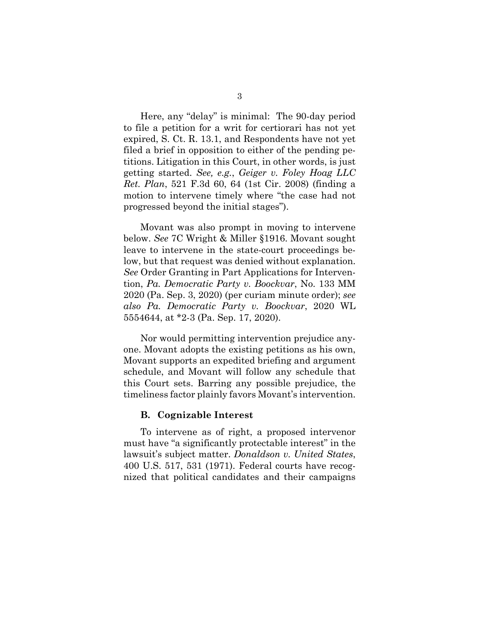Here, any "delay" is minimal: The 90-day period to file a petition for a writ for certiorari has not yet expired, S. Ct. R. 13.1, and Respondents have not yet filed a brief in opposition to either of the pending petitions. Litigation in this Court, in other words, is just getting started. *See, e.g.*, *Geiger v. Foley Hoag LLC Ret. Plan*, 521 F.3d 60, 64 (1st Cir. 2008) (finding a motion to intervene timely where "the case had not progressed beyond the initial stages").

Movant was also prompt in moving to intervene below. *See* 7C Wright & Miller §1916. Movant sought leave to intervene in the state-court proceedings below, but that request was denied without explanation. *See* Order Granting in Part Applications for Intervention, *Pa. Democratic Party v. Boockvar*, No. 133 MM 2020 (Pa. Sep. 3, 2020) (per curiam minute order); *see also Pa. Democratic Party v. Boockvar*, 2020 WL 5554644, at \*2-3 (Pa. Sep. 17, 2020).

Nor would permitting intervention prejudice anyone. Movant adopts the existing petitions as his own, Movant supports an expedited briefing and argument schedule, and Movant will follow any schedule that this Court sets. Barring any possible prejudice, the timeliness factor plainly favors Movant's intervention.

#### **B. Cognizable Interest**

To intervene as of right, a proposed intervenor must have "a significantly protectable interest" in the lawsuit's subject matter. *Donaldson v. United States*, 400 U.S. 517, 531 (1971). Federal courts have recognized that political candidates and their campaigns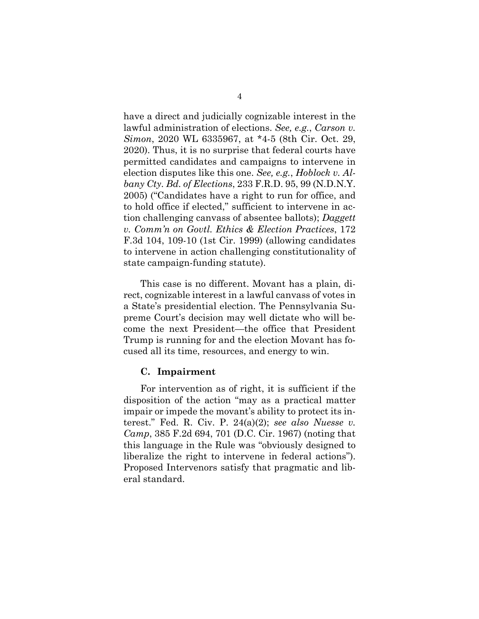have a direct and judicially cognizable interest in the lawful administration of elections. *See, e.g.*, *Carson v. Simon*, 2020 WL 6335967, at \*4-5 (8th Cir. Oct. 29, 2020). Thus, it is no surprise that federal courts have permitted candidates and campaigns to intervene in election disputes like this one. *See, e.g.*, *Hoblock v. Albany Cty. Bd. of Elections*, 233 F.R.D. 95, 99 (N.D.N.Y. 2005) ("Candidates have a right to run for office, and to hold office if elected," sufficient to intervene in action challenging canvass of absentee ballots); *Daggett v. Comm'n on Govtl. Ethics & Election Practices*, 172 F.3d 104, 109-10 (1st Cir. 1999) (allowing candidates to intervene in action challenging constitutionality of state campaign-funding statute).

This case is no different. Movant has a plain, direct, cognizable interest in a lawful canvass of votes in a State's presidential election. The Pennsylvania Supreme Court's decision may well dictate who will become the next President—the office that President Trump is running for and the election Movant has focused all its time, resources, and energy to win.

#### **C. Impairment**

For intervention as of right, it is sufficient if the disposition of the action "may as a practical matter impair or impede the movant's ability to protect its interest." Fed. R. Civ. P. 24(a)(2); *see also Nuesse v. Camp*, 385 F.2d 694, 701 (D.C. Cir. 1967) (noting that this language in the Rule was "obviously designed to liberalize the right to intervene in federal actions"). Proposed Intervenors satisfy that pragmatic and liberal standard.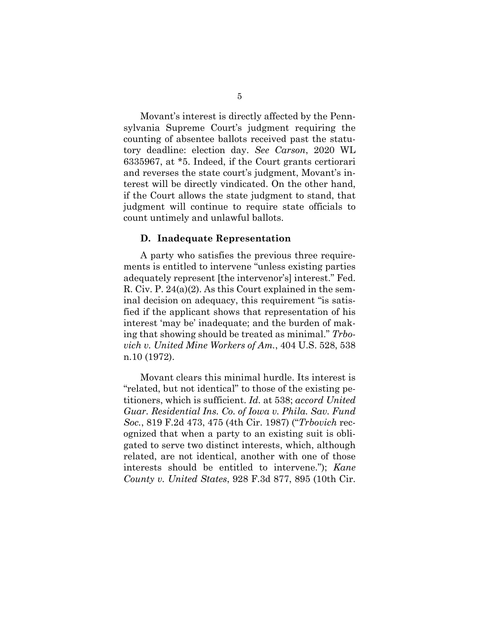Movant's interest is directly affected by the Pennsylvania Supreme Court's judgment requiring the counting of absentee ballots received past the statutory deadline: election day. *See Carson*, 2020 WL 6335967, at \*5. Indeed, if the Court grants certiorari and reverses the state court's judgment, Movant's interest will be directly vindicated. On the other hand, if the Court allows the state judgment to stand, that judgment will continue to require state officials to count untimely and unlawful ballots.

#### **D. Inadequate Representation**

A party who satisfies the previous three requirements is entitled to intervene "unless existing parties adequately represent [the intervenor's] interest." Fed. R. Civ. P. 24(a)(2). As this Court explained in the seminal decision on adequacy, this requirement "is satisfied if the applicant shows that representation of his interest 'may be' inadequate; and the burden of making that showing should be treated as minimal." *Trbovich v. United Mine Workers of Am.*, 404 U.S. 528, 538 n.10 (1972).

Movant clears this minimal hurdle. Its interest is "related, but not identical" to those of the existing petitioners, which is sufficient. *Id.* at 538; *accord United Guar. Residential Ins. Co. of Iowa v. Phila. Sav. Fund Soc.*, 819 F.2d 473, 475 (4th Cir. 1987) ("*Trbovich* recognized that when a party to an existing suit is obligated to serve two distinct interests, which, although related, are not identical, another with one of those interests should be entitled to intervene."); *Kane County v. United States*, 928 F.3d 877, 895 (10th Cir.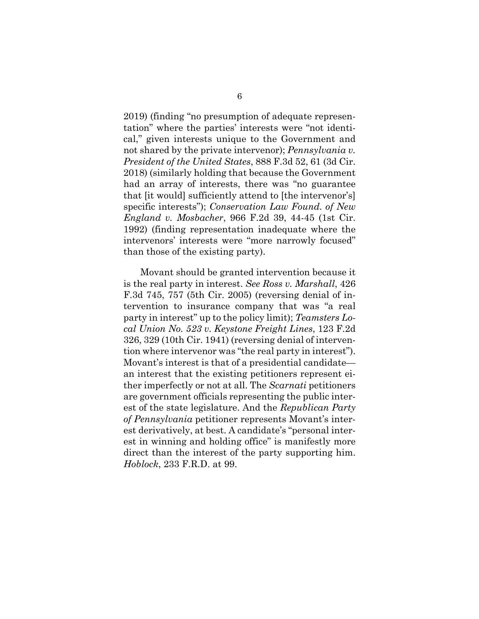2019) (finding "no presumption of adequate representation" where the parties' interests were "not identical," given interests unique to the Government and not shared by the private intervenor); *Pennsylvania v. President of the United States*, 888 F.3d 52, 61 (3d Cir. 2018) (similarly holding that because the Government had an array of interests, there was "no guarantee that [it would] sufficiently attend to [the intervenor's] specific interests"); *Conservation Law Found. of New England v. Mosbacher*, 966 F.2d 39, 44-45 (1st Cir. 1992) (finding representation inadequate where the intervenors' interests were "more narrowly focused" than those of the existing party).

Movant should be granted intervention because it is the real party in interest. *See Ross v. Marshall*, 426 F.3d 745, 757 (5th Cir. 2005) (reversing denial of intervention to insurance company that was "a real party in interest" up to the policy limit); *Teamsters Local Union No. 523 v. Keystone Freight Lines*, 123 F.2d 326, 329 (10th Cir. 1941) (reversing denial of intervention where intervenor was "the real party in interest"). Movant's interest is that of a presidential candidate an interest that the existing petitioners represent either imperfectly or not at all. The *Scarnati* petitioners are government officials representing the public interest of the state legislature. And the *Republican Party of Pennsylvania* petitioner represents Movant's interest derivatively, at best. A candidate's "personal interest in winning and holding office" is manifestly more direct than the interest of the party supporting him. *Hoblock*, 233 F.R.D. at 99.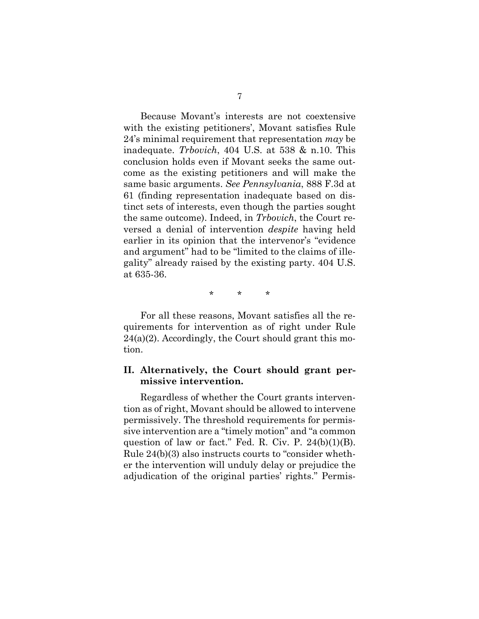Because Movant's interests are not coextensive with the existing petitioners', Movant satisfies Rule 24's minimal requirement that representation *may* be inadequate. *Trbovich*, 404 U.S. at 538 & n.10. This conclusion holds even if Movant seeks the same outcome as the existing petitioners and will make the same basic arguments. *See Pennsylvania*, 888 F.3d at 61 (finding representation inadequate based on distinct sets of interests, even though the parties sought the same outcome). Indeed, in *Trbovich*, the Court reversed a denial of intervention *despite* having held earlier in its opinion that the intervenor's "evidence and argument" had to be "limited to the claims of illegality" already raised by the existing party. 404 U.S. at 635-36.

\* \* \*

For all these reasons, Movant satisfies all the requirements for intervention as of right under Rule 24(a)(2). Accordingly, the Court should grant this motion.

### **II. Alternatively, the Court should grant permissive intervention.**

Regardless of whether the Court grants intervention as of right, Movant should be allowed to intervene permissively. The threshold requirements for permissive intervention are a "timely motion" and "a common question of law or fact." Fed. R. Civ. P.  $24(b)(1)(B)$ . Rule 24(b)(3) also instructs courts to "consider whether the intervention will unduly delay or prejudice the adjudication of the original parties' rights." Permis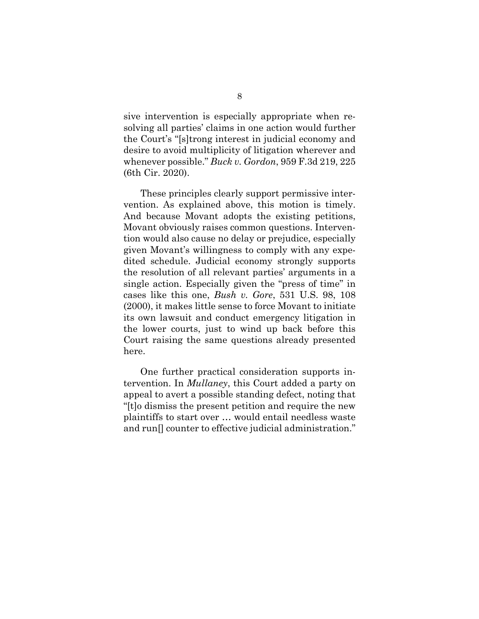sive intervention is especially appropriate when resolving all parties' claims in one action would further the Court's "[s]trong interest in judicial economy and desire to avoid multiplicity of litigation wherever and whenever possible." *Buck v. Gordon*, 959 F.3d 219, 225 (6th Cir. 2020).

These principles clearly support permissive intervention. As explained above, this motion is timely. And because Movant adopts the existing petitions, Movant obviously raises common questions. Intervention would also cause no delay or prejudice, especially given Movant's willingness to comply with any expedited schedule. Judicial economy strongly supports the resolution of all relevant parties' arguments in a single action. Especially given the "press of time" in cases like this one, *Bush v. Gore*, 531 U.S. 98, 108 (2000), it makes little sense to force Movant to initiate its own lawsuit and conduct emergency litigation in the lower courts, just to wind up back before this Court raising the same questions already presented here.

One further practical consideration supports intervention. In *Mullaney*, this Court added a party on appeal to avert a possible standing defect, noting that "[t]o dismiss the present petition and require the new plaintiffs to start over … would entail needless waste and run[] counter to effective judicial administration."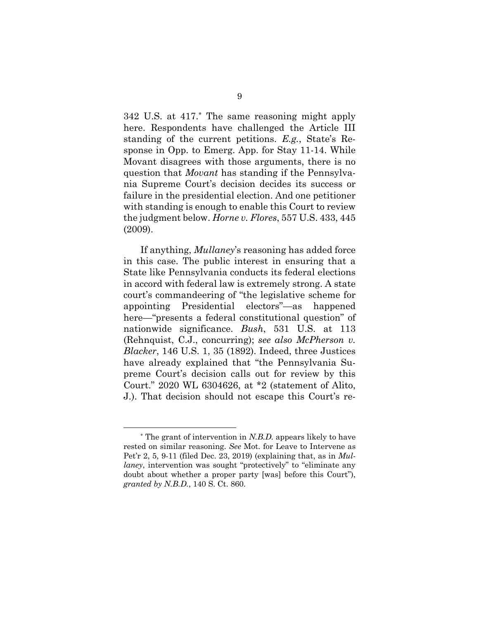342 U.S. at 417.\* The same reasoning might apply here. Respondents have challenged the Article III standing of the current petitions. *E.g.*, State's Response in Opp. to Emerg. App. for Stay 11-14. While Movant disagrees with those arguments, there is no question that *Movant* has standing if the Pennsylvania Supreme Court's decision decides its success or failure in the presidential election. And one petitioner with standing is enough to enable this Court to review the judgment below. *Horne v. Flores*, 557 U.S. 433, 445 (2009).

If anything, *Mullaney*'s reasoning has added force in this case. The public interest in ensuring that a State like Pennsylvania conducts its federal elections in accord with federal law is extremely strong. A state court's commandeering of "the legislative scheme for appointing Presidential electors"—as happened here—"presents a federal constitutional question" of nationwide significance. *Bush*, 531 U.S. at 113 (Rehnquist, C.J., concurring); *see also McPherson v. Blacker*, 146 U.S. 1, 35 (1892). Indeed, three Justices have already explained that "the Pennsylvania Supreme Court's decision calls out for review by this Court." 2020 WL 6304626, at \*2 (statement of Alito, J.). That decision should not escape this Court's re-

<sup>\*</sup> The grant of intervention in *N.B.D.* appears likely to have rested on similar reasoning. *See* Mot. for Leave to Intervene as Pet'r 2, 5, 9-11 (filed Dec. 23, 2019) (explaining that, as in *Mullaney*, intervention was sought "protectively" to "eliminate any doubt about whether a proper party [was] before this Court"), *granted by N.B.D.*, 140 S. Ct. 860.